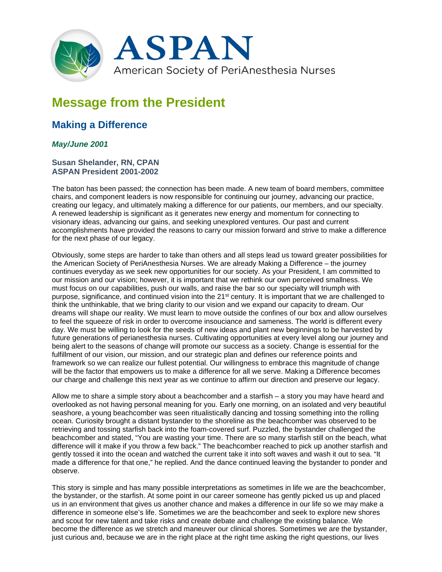

## **Message from the President**

## **Making a Difference**

## *May/June 2001*

## **Susan Shelander, RN, CPAN ASPAN President 2001-2002**

The baton has been passed; the connection has been made. A new team of board members, committee chairs, and component leaders is now responsible for continuing our journey, advancing our practice, creating our legacy, and ultimately making a difference for our patients, our members, and our specialty. A renewed leadership is significant as it generates new energy and momentum for connecting to visionary ideas, advancing our gains, and seeking unexplored ventures. Our past and current accomplishments have provided the reasons to carry our mission forward and strive to make a difference for the next phase of our legacy.

Obviously, some steps are harder to take than others and all steps lead us toward greater possibilities for the American Society of PeriAnesthesia Nurses. We are already Making a Difference – the journey continues everyday as we seek new opportunities for our society. As your President, I am committed to our mission and our vision; however, it is important that we rethink our own perceived smallness. We must focus on our capabilities, push our walls, and raise the bar so our specialty will triumph with purpose, significance, and continued vision into the 21st century. It is important that we are challenged to think the unthinkable, that we bring clarity to our vision and we expand our capacity to dream. Our dreams will shape our reality. We must learn to move outside the confines of our box and allow ourselves to feel the squeeze of risk in order to overcome insouciance and sameness. The world is different every day. We must be willing to look for the seeds of new ideas and plant new beginnings to be harvested by future generations of perianesthesia nurses. Cultivating opportunities at every level along our journey and being alert to the seasons of change will promote our success as a society. Change is essential for the fulfillment of our vision, our mission, and our strategic plan and defines our reference points and framework so we can realize our fullest potential. Our willingness to embrace this magnitude of change will be the factor that empowers us to make a difference for all we serve. Making a Difference becomes our charge and challenge this next year as we continue to affirm our direction and preserve our legacy.

Allow me to share a simple story about a beachcomber and a starfish – a story you may have heard and overlooked as not having personal meaning for you. Early one morning, on an isolated and very beautiful seashore, a young beachcomber was seen ritualistically dancing and tossing something into the rolling ocean. Curiosity brought a distant bystander to the shoreline as the beachcomber was observed to be retrieving and tossing starfish back into the foam-covered surf. Puzzled, the bystander challenged the beachcomber and stated, "You are wasting your time. There are so many starfish still on the beach, what difference will it make if you throw a few back." The beachcomber reached to pick up another starfish and gently tossed it into the ocean and watched the current take it into soft waves and wash it out to sea. "It made a difference for that one," he replied. And the dance continued leaving the bystander to ponder and observe.

This story is simple and has many possible interpretations as sometimes in life we are the beachcomber, the bystander, or the starfish. At some point in our career someone has gently picked us up and placed us in an environment that gives us another chance and makes a difference in our life so we may make a difference in someone else's life. Sometimes we are the beachcomber and seek to explore new shores and scout for new talent and take risks and create debate and challenge the existing balance. We become the difference as we stretch and maneuver our clinical shores. Sometimes we are the bystander, just curious and, because we are in the right place at the right time asking the right questions, our lives